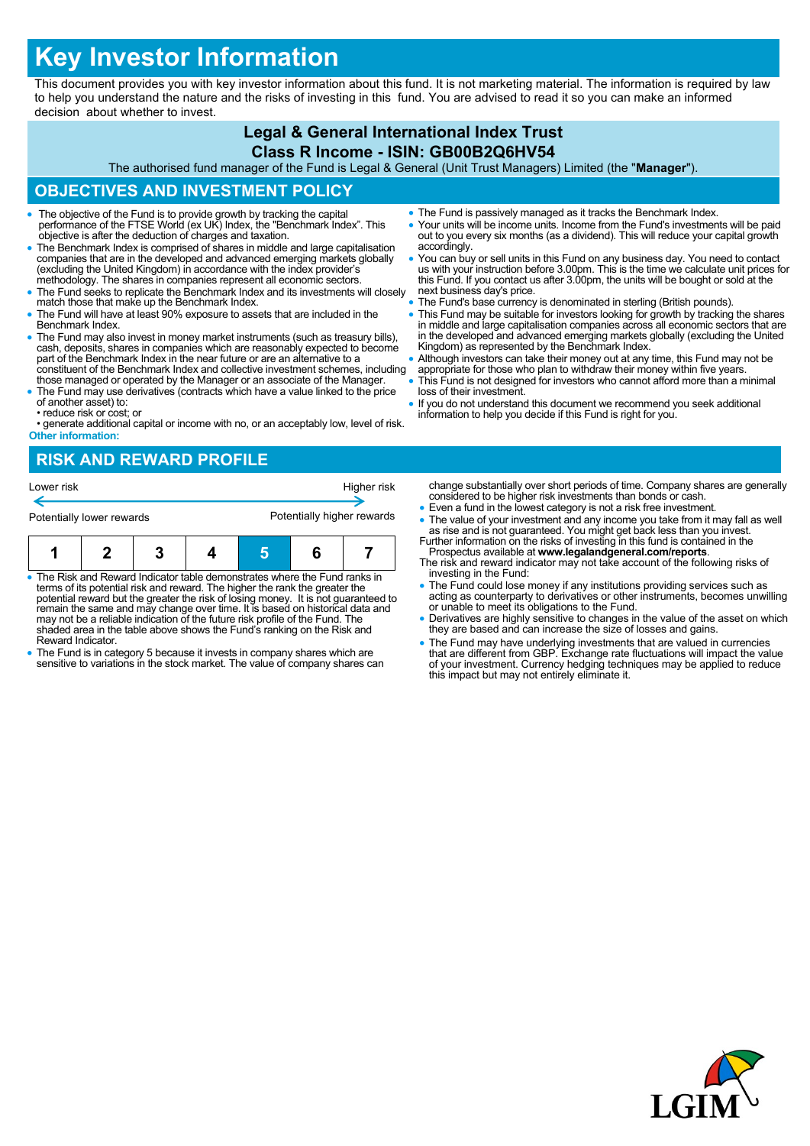# **Key Investor Information**

This document provides you with key investor information about this fund. It is not marketing material. The information is required by law to help you understand the nature and the risks of investing in this fund. You are advised to read it so you can make an informed decision about whether to invest.

## **Legal & General International Index Trust Class R Income - ISIN: GB00B2Q6HV54**

The authorised fund manager of the Fund is Legal & General (Unit Trust Managers) Limited (the "**Manager**").

## **OBJECTIVES AND INVESTMENT POLICY**

- The objective of the Fund is to provide growth by tracking the capital performance of the FTSE World (ex UK) Index, the "Benchmark Index". This objective is after the deduction of charges and taxation.
- The Benchmark Index is comprised of shares in middle and large capitalisation companies that are in the developed and advanced emerging markets globally (excluding the United Kingdom) in accordance with the index provider's methodology. The shares in companies represent all economic sectors.
- The Fund seeks to replicate the Benchmark Index and its investments will closely match those that make up the Benchmark Index.
- The Fund will have at least 90% exposure to assets that are included in the Benchmark Index.
- The Fund may also invest in money market instruments (such as treasury bills). cash, deposits, shares in companies which are reasonably expected to become part of the Benchmark Index in the near future or are an alternative to a constituent of the Benchmark Index and collective investment schemes, including
- those managed or operated by the Manager or an associate of the Manager. The Fund may use derivatives (contracts which have a value linked to the price of another asset) to:
- reduce risk or cost; or
- generate additional capital or income with no, or an acceptably low, level of risk. **Other information:**

# **RISK AND REWARD PROFILE**

| Lower risk |                           |  | Higher risk<br>Potentially higher rewards |  |  |  |
|------------|---------------------------|--|-------------------------------------------|--|--|--|
|            | Potentially lower rewards |  |                                           |  |  |  |
|            |                           |  |                                           |  |  |  |

| $\bullet$ The Risk and Reward Indicator table demonstrates where the Fund ranks in<br>المتعالم وجواد والمساوية والمتحرم والمتابع المتحادث والمستحدث والمتحاد والمتلاحي والتكامل والمستحل |  |  |  |  |  |  |
|------------------------------------------------------------------------------------------------------------------------------------------------------------------------------------------|--|--|--|--|--|--|

- terms of its potential risk and reward. The higher the rank the greater the potential reward but the greater the risk of losing money. It is not guaranteed to remain the same and may change over time. It is based on historical data and may not be a reliable indication of the future risk profile of the Fund. The shaded area in the table above shows the Fund's ranking on the Risk and Reward Indicator.
- The Fund is in category 5 because it invests in company shares which are sensitive to variations in the stock market. The value of company shares can
- The Fund is passively managed as it tracks the Benchmark Index.
- Your units will be income units. Income from the Fund's investments will be paid out to you every six months (as a dividend). This will reduce your capital growth accordingly.
- You can buy or sell units in this Fund on any business day. You need to contact us with your instruction before 3.00pm. This is the time we calculate unit prices for this Fund. If you contact us after 3.00pm, the units will be bought or sold at the next business day's price.
- The Fund's base currency is denominated in sterling (British pounds).
- This Fund may be suitable for investors looking for growth by tracking the shares in middle and large capitalisation companies across all economic sectors that are in the developed and advanced emerging markets globally (excluding the United Kingdom) as represented by the Benchmark Index.
- Although investors can take their money out at any time, this Fund may not be
- appropriate for those who plan to withdraw their money within five years. This Fund is not designed for investors who cannot afford more than a minimal loss of their investment.
- If you do not understand this document we recommend you seek additional information to help you decide if this Fund is right for you.

change substantially over short periods of time. Company shares are generally considered to be higher risk investments than bonds or cash.

- Even a fund in the lowest category is not a risk free investment.
- The value of your investment and any income you take from it may fall as well as rise and is not guaranteed. You might get back less than you invest. Further information on the risks of investing in this fund is contained in the
- Prospectus available at **www.legalandgeneral.com/reports**. The risk and reward indicator may not take account of the following risks of investing in the Fund:
- The Fund could lose money if any institutions providing services such as acting as counterparty to derivatives or other instruments, becomes unwilling or unable to meet its obligations to the Fund.
- Derivatives are highly sensitive to changes in the value of the asset on which they are based and can increase the size of losses and gains.
- The Fund may have underlying investments that are valued in currencies that are different from GBP. Exchange rate fluctuations will impact the value of your investment. Currency hedging techniques may be applied to reduce this impact but may not entirely eliminate it.